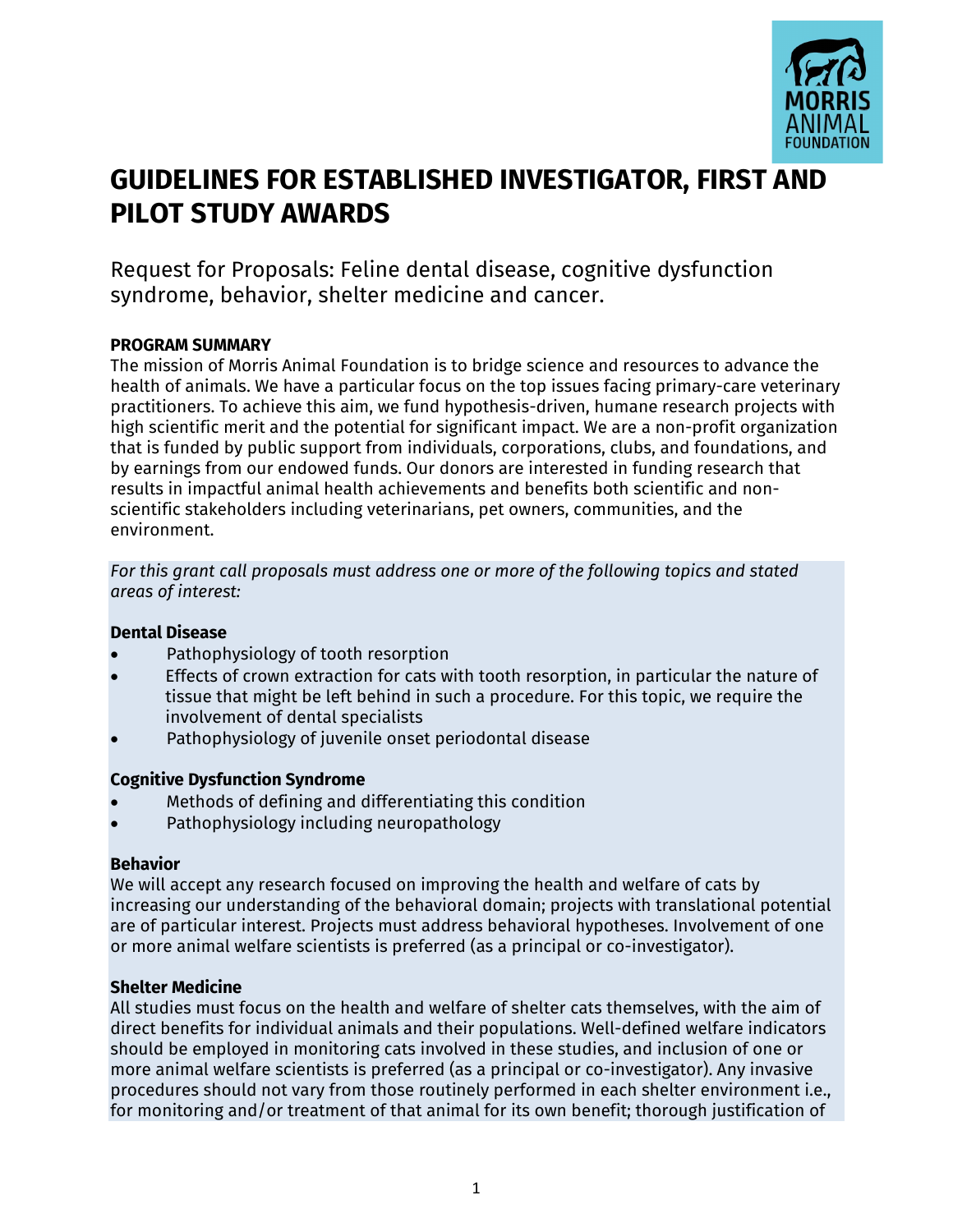

# **GUIDELINES FOR ESTABLISHED INVESTIGATOR, FIRST AND PILOT STUDY AWARDS**

Request for Proposals: Feline dental disease, cognitive dysfunction syndrome, behavior, shelter medicine and cancer.

## **PROGRAM SUMMARY**

The mission of Morris Animal Foundation is to bridge science and resources to advance the health of animals. We have a particular focus on the top issues facing primary-care veterinary practitioners. To achieve this aim, we fund hypothesis-driven, humane research projects with high scientific merit and the potential for significant impact. We are a non-profit organization that is funded by public support from individuals, corporations, clubs, and foundations, and by earnings from our endowed funds. Our donors are interested in funding research that results in impactful animal health achievements and benefits both scientific and nonscientific stakeholders including veterinarians, pet owners, communities, and the environment.

*For this grant call proposals must address one or more of the following topics and stated areas of interest:*

## **Dental Disease**

- Pathophysiology of tooth resorption
- Effects of crown extraction for cats with tooth resorption, in particular the nature of tissue that might be left behind in such a procedure. For this topic, we require the involvement of dental specialists
- Pathophysiology of juvenile onset periodontal disease

## **Cognitive Dysfunction Syndrome**

- Methods of defining and differentiating this condition
- Pathophysiology including neuropathology

## **Behavior**

We will accept any research focused on improving the health and welfare of cats by increasing our understanding of the behavioral domain; projects with translational potential are of particular interest. Projects must address behavioral hypotheses. Involvement of one or more animal welfare scientists is preferred (as a principal or co-investigator).

# **Shelter Medicine**

All studies must focus on the health and welfare of shelter cats themselves, with the aim of direct benefits for individual animals and their populations. Well-defined welfare indicators should be employed in monitoring cats involved in these studies, and inclusion of one or more animal welfare scientists is preferred (as a principal or co-investigator). Any invasive procedures should not vary from those routinely performed in each shelter environment i.e., for monitoring and/or treatment of that animal for its own benefit; thorough justification of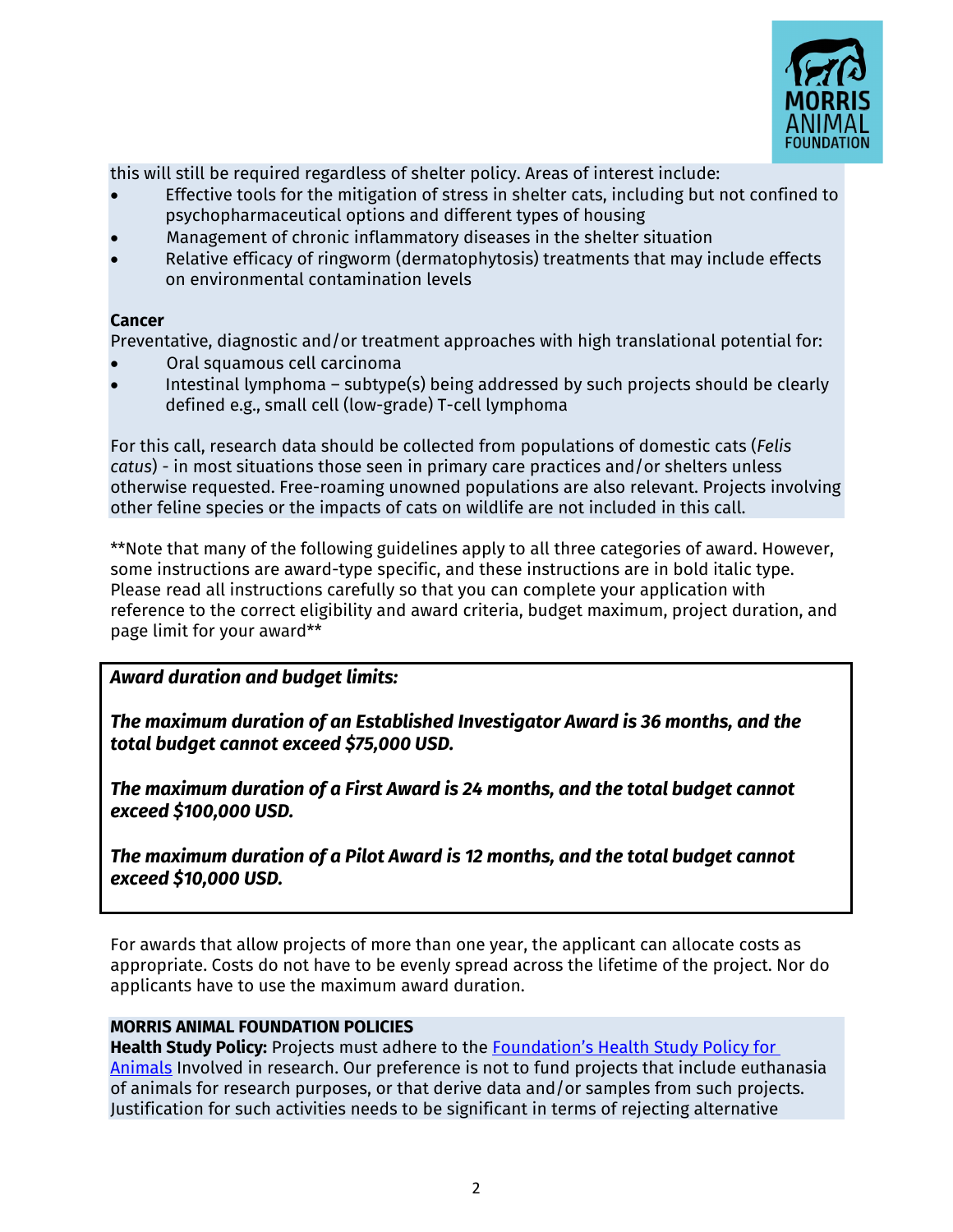

this will still be required regardless of shelter policy. Areas of interest include:

- Effective tools for the mitigation of stress in shelter cats, including but not confined to psychopharmaceutical options and different types of housing
- Management of chronic inflammatory diseases in the shelter situation
- Relative efficacy of ringworm (dermatophytosis) treatments that may include effects on environmental contamination levels

### **Cancer**

Preventative, diagnostic and/or treatment approaches with high translational potential for:

- Oral squamous cell carcinoma
- Intestinal lymphoma subtype(s) being addressed by such projects should be clearly defined e.g., small cell (low-grade) T-cell lymphoma

For this call, research data should be collected from populations of domestic cats (*Felis catus*) - in most situations those seen in primary care practices and/or shelters unless otherwise requested. Free-roaming unowned populations are also relevant. Projects involving other feline species or the impacts of cats on wildlife are not included in this call.

\*\*Note that many of the following guidelines apply to all three categories of award. However, some instructions are award-type specific, and these instructions are in bold italic type. Please read all instructions carefully so that you can complete your application with reference to the correct eligibility and award criteria, budget maximum, project duration, and page limit for your award\*\*

# *Award duration and budget limits:*

*The maximum duration of an Established Investigator Award is 36 months, and the total budget cannot exceed \$75,000 USD.* 

*The maximum duration of a First Award is 24 months, and the total budget cannot exceed \$100,000 USD.*

*The maximum duration of a Pilot Award is 12 months, and the total budget cannot exceed \$10,000 USD.*

For awards that allow projects of more than one year, the applicant can allocate costs as appropriate. Costs do not have to be evenly spread across the lifetime of the project. Nor do applicants have to use the maximum award duration.

## **MORRIS ANIMAL FOUNDATION POLICIES**

**Health Study Policy:** Projects must adhere to the [Foundation's Health Study Policy for](https://www.morrisanimalfoundation.org/sites/default/files/filesync/Health-Study-Policy.pdf)  [Animals](chrome-extension://efaidnbmnnnibpcajpcglclefindmkaj/viewer.html?pdfurl=https%3A%2F%2Fwww.morrisanimalfoundation.org%2Fsites%2Fdefault%2Ffiles%2Ffilesync%2FHealth-Study-Policy.pdf&clen=70644&chunk=true) Involved in research. Our preference is not to fund projects that include euthanasia of animals for research purposes, or that derive data and/or samples from such projects. Justification for such activities needs to be significant in terms of rejecting alternative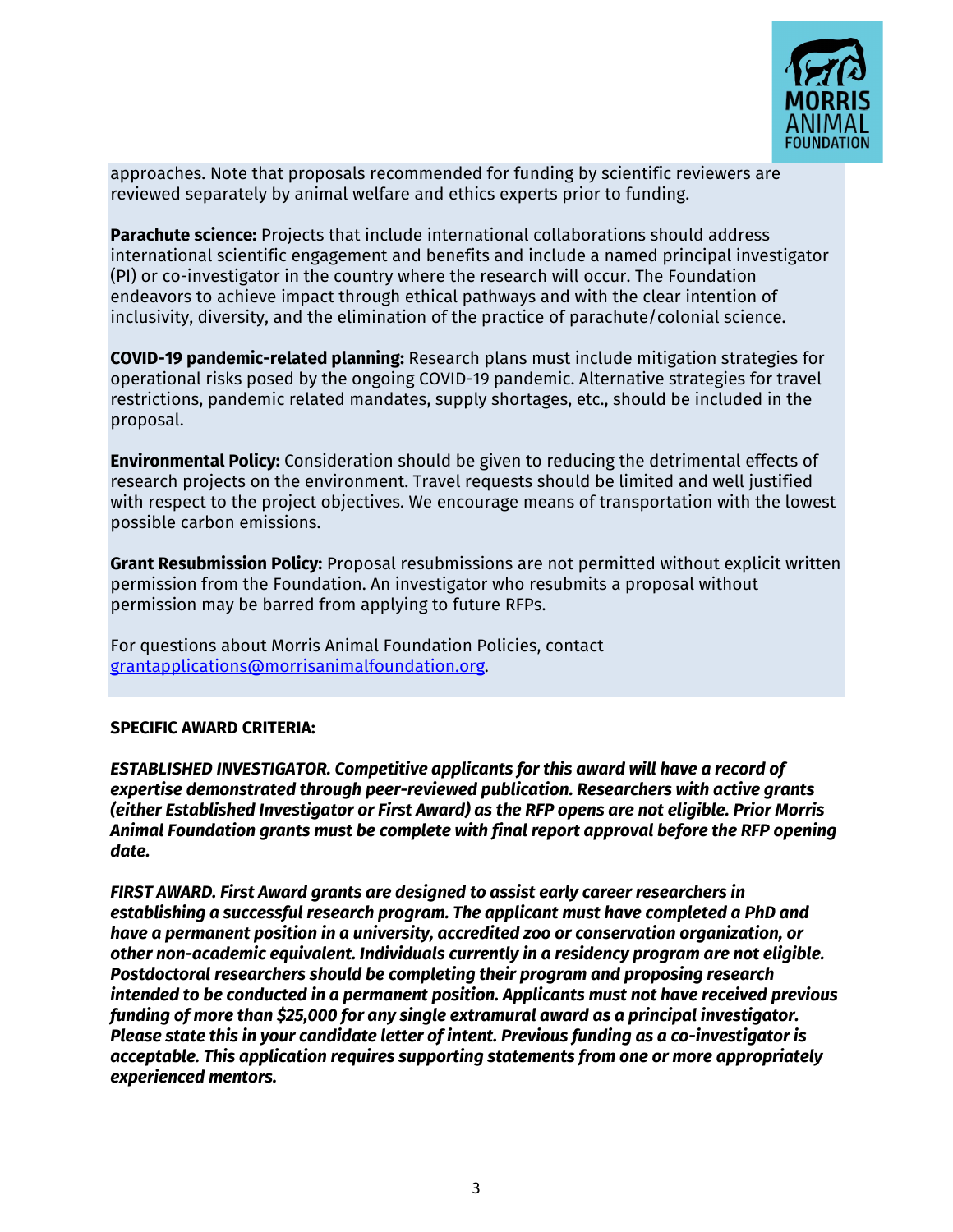

approaches. Note that proposals recommended for funding by scientific reviewers are reviewed separately by animal welfare and ethics experts prior to funding.

**Parachute science:** Projects that include international collaborations should address international scientific engagement and benefits and include a named principal investigator (PI) or co-investigator in the country where the research will occur. The Foundation endeavors to achieve impact through ethical pathways and with the clear intention of inclusivity, diversity, and the elimination of the practice of parachute/colonial science.

**COVID-19 pandemic-related planning:** Research plans must include mitigation strategies for operational risks posed by the ongoing COVID-19 pandemic. Alternative strategies for travel restrictions, pandemic related mandates, supply shortages, etc., should be included in the proposal.

**Environmental Policy:** Consideration should be given to reducing the detrimental effects of research projects on the environment. Travel requests should be limited and well justified with respect to the project objectives. We encourage means of transportation with the lowest possible carbon emissions.

**Grant Resubmission Policy:** Proposal resubmissions are not permitted without explicit written permission from the Foundation. An investigator who resubmits a proposal without permission may be barred from applying to future RFPs.

For questions about Morris Animal Foundation Policies, contact [grantapplications@morrisanimalfoundation.org.](mailto:grantapplications@morrisanimalfoundation.org)

#### **SPECIFIC AWARD CRITERIA:**

*ESTABLISHED INVESTIGATOR. Competitive applicants for this award will have a record of expertise demonstrated through peer-reviewed publication. Researchers with active grants (either Established Investigator or First Award) as the RFP opens are not eligible. Prior Morris Animal Foundation grants must be complete with final report approval before the RFP opening date.* 

*FIRST AWARD. First Award grants are designed to assist early career researchers in establishing a successful research program. The applicant must have completed a PhD and have a permanent position in a university, accredited zoo or conservation organization, or other non-academic equivalent. Individuals currently in a residency program are not eligible. Postdoctoral researchers should be completing their program and proposing research intended to be conducted in a permanent position. Applicants must not have received previous funding of more than \$25,000 for any single extramural award as a principal investigator. Please state this in your candidate letter of intent. Previous funding as a co-investigator is acceptable. This application requires supporting statements from one or more appropriately experienced mentors.*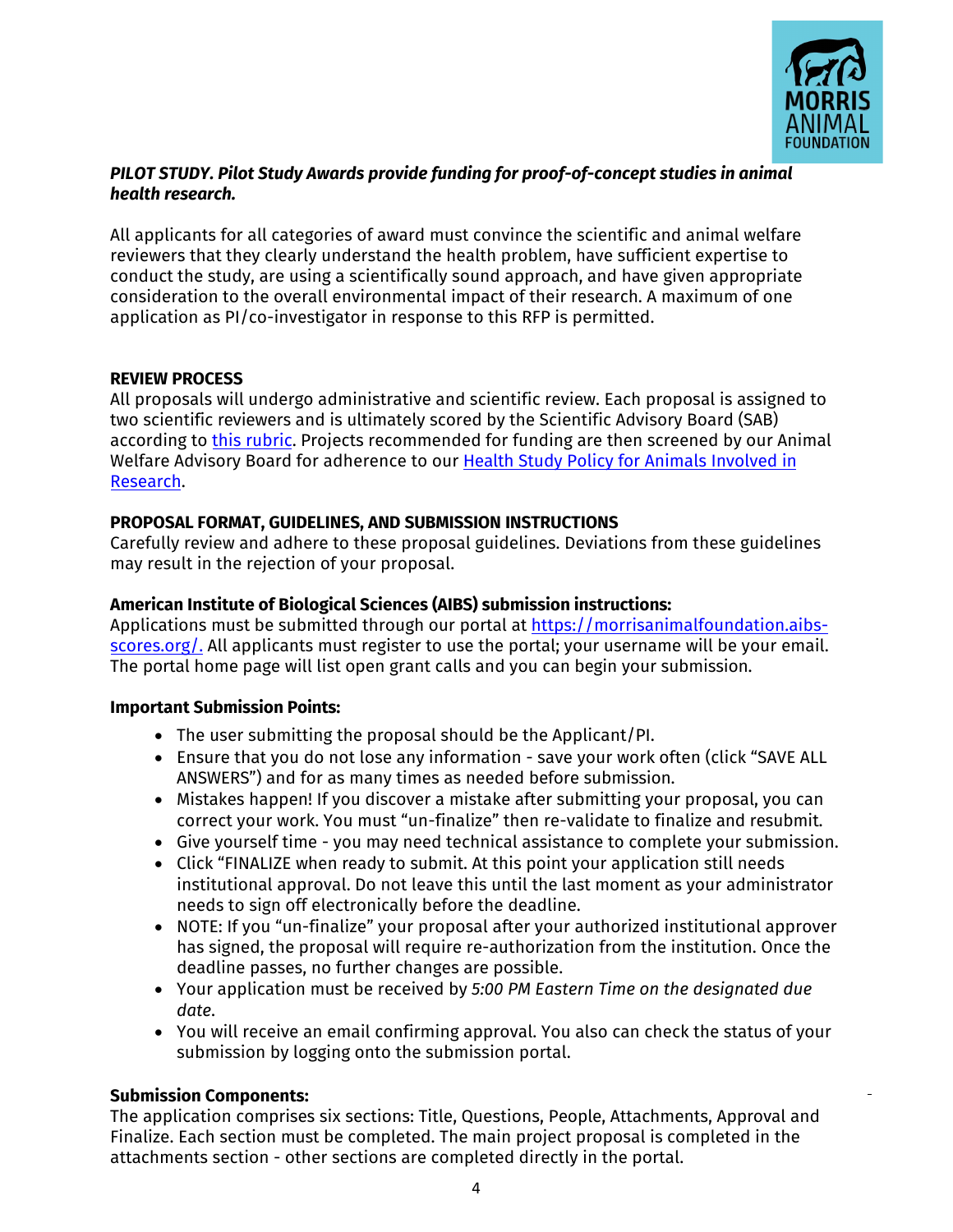

## *PILOT STUDY. Pilot Study Awards provide funding for proof-of-concept studies in animal health research.*

All applicants for all categories of award must convince the scientific and animal welfare reviewers that they clearly understand the health problem, have sufficient expertise to conduct the study, are using a scientifically sound approach, and have given appropriate consideration to the overall environmental impact of their research. A maximum of one application as PI/co-investigator in response to this RFP is permitted.

### **REVIEW PROCESS**

All proposals will undergo administrative and scientific review. Each proposal is assigned to two scientific reviewers and is ultimately scored by the Scientific Advisory Board (SAB) according to [this rubric.](https://www.morrisanimalfoundation.org/sites/default/files/filesync/Proposal-Scoring-Rubric.pdf) Projects recommended for funding are then screened by our Animal Welfare Advisory Board for adherence to our Health Study Policy for Animals [Involved](https://www.morrisanimalfoundation.org/sites/default/files/filesync/Health-Study-Policy.pdf) in [Research.](https://www.morrisanimalfoundation.org/sites/default/files/filesync/Health-Study-Policy.pdf) 

## **PROPOSAL FORMAT, GUIDELINES, AND SUBMISSION INSTRUCTIONS**

Carefully review and adhere to these proposal guidelines. Deviations from these guidelines may result in the rejection of your proposal.

## **[American Ins](https://morrisanimalfoundation.aibs-scores.org/)titute of Biological Sciences (AIBS) submission instructions:**

Applications must be submitted through our portal at https://morrisanimalfoundation.aibsscores.org/. All applicants must register to use the portal; your username will be your email. The portal home page will list open grant calls and you can begin your submission.

#### **Important Submission Points:**

- The user submitting the proposal should be the Applicant/PI.
- Ensure that you do not lose any information save your work often (click "SAVE ALL ANSWERS") and for as many times as needed before submission.
- Mistakes happen! If you discover a mistake after submitting your proposal, you can correct your work. You must "un-finalize" then re-validate to finalize and resubmit.
- Give yourself time you may need technical assistance to complete your submission.
- Click "FINALIZE when ready to submit. At this point your application still needs institutional approval. Do not leave this until the last moment as your administrator needs to sign off electronically before the deadline.
- NOTE: If you "un-finalize" your proposal after your authorized institutional approver has signed, the proposal will require re-authorization from the institution. Once the deadline passes, no further changes are possible.
- Your application must be received by *5:00 PM Eastern Time on the designated due date*.
- You will receive an email confirming approval. You also can check the status of your submission by logging onto the submission portal.

## **Submission Components:**

The application comprises six sections: Title, Questions, People, Attachments, Approval and Finalize. Each section must be completed. The main project proposal is completed in the attachments section - other sections are completed directly in the portal.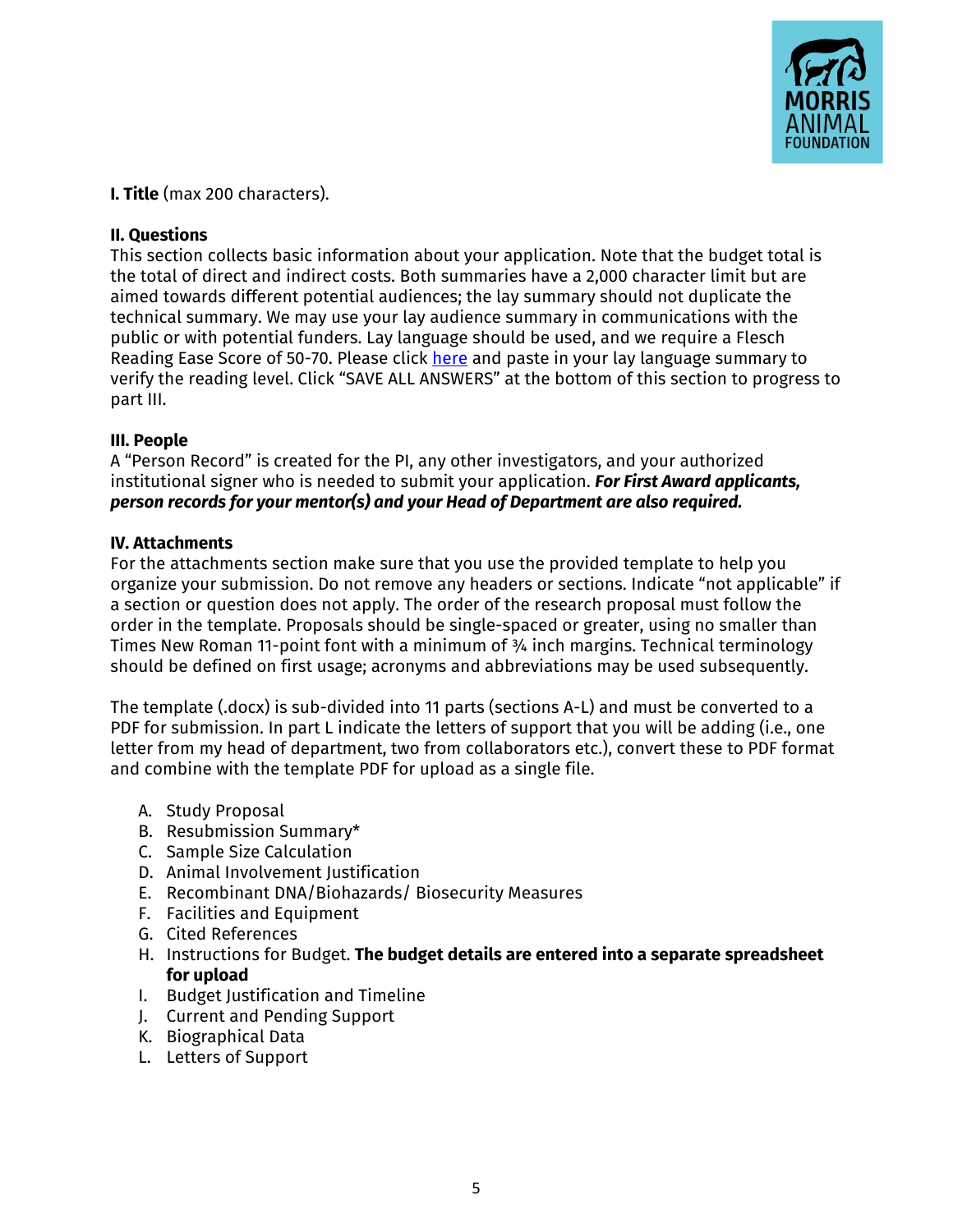

**I. Title** (max 200 characters).

#### **II. Questions**

This section collects basic information about your application. Note that the budget total is the total of direct and indirect costs. Both summaries have a 2,000 character limit but are aimed towards different potential audiences; the lay summary should not duplicate the technical summary. We may use your lay audience summary in communications with the public or with potential funders. Lay language should be used, and we require a Flesch Reading Ease Score of 50-70. Please click [here](https://www.readabilityformulas.com/free-readability-formula-tests.php) and paste in your lay language summary to verify the reading level. Click "SAVE ALL ANSWERS" at the bottom of this section to progress to part III.

#### **III. People**

A "Person Record" is created for the PI, any other investigators, and your authorized institutional signer who is needed to submit your application. *For First Award applicants, person records for your mentor(s) and your Head of Department are also required.*

#### **IV. Attachments**

For the attachments section make sure that you use the provided template to help you organize your submission. Do not remove any headers or sections. Indicate "not applicable" if a section or question does not apply. The order of the research proposal must follow the order in the template. Proposals should be single-spaced or greater, using no smaller than Times New Roman 11-point font with a minimum of ¾ inch margins. Technical terminology should be defined on first usage; acronyms and abbreviations may be used subsequently.

The template (.docx) is sub-divided into 11 parts (sections A-L) and must be converted to a PDF for submission. In part L indicate the letters of support that you will be adding (i.e., one letter from my head of department, two from collaborators etc.), convert these to PDF format and combine with the template PDF for upload as a single file.

- A. Study Proposal
- B. Resubmission Summary\*
- C. Sample Size Calculation
- D. Animal Involvement Justification
- E. Recombinant DNA/Biohazards/ Biosecurity Measures
- F. Facilities and Equipment
- G. Cited References
- H. Instructions for Budget. **The budget details are entered into a separate spreadsheet for upload**
- I. Budget Justification and Timeline
- J. Current and Pending Support
- K. Biographical Data
- L. Letters of Support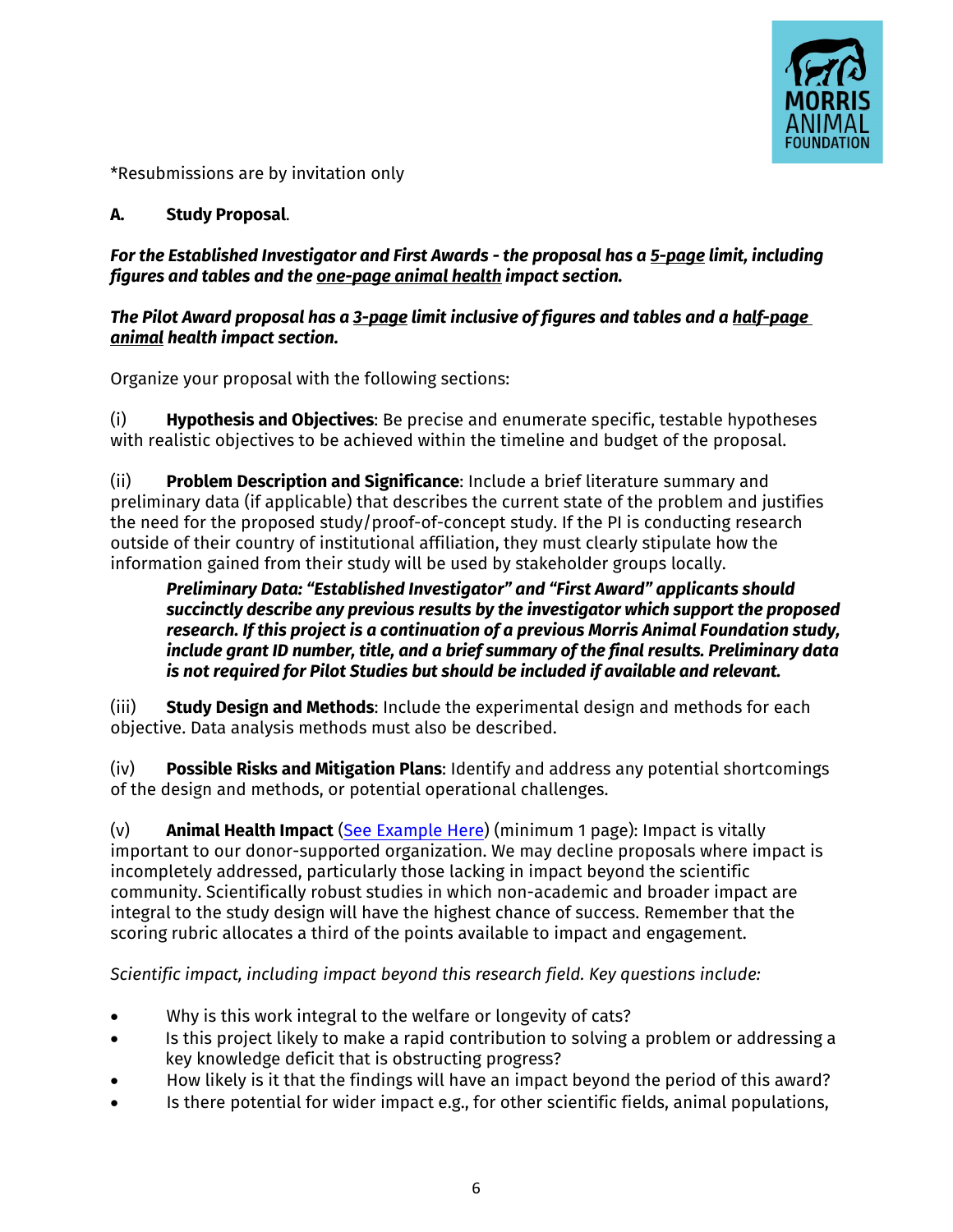

\*Resubmissions are by invitation only

# **A. Study Proposal**.

## *For the Established Investigator and First Awards - the proposal has a 5-page limit, including figures and tables and the one-page animal health impact section.*

## *The Pilot Award proposal has a 3-page limit inclusive of figures and tables and a half-page animal health impact section.*

Organize your proposal with the following sections:

(i) **Hypothesis and Objectives**: Be precise and enumerate specific, testable hypotheses with realistic objectives to be achieved within the timeline and budget of the proposal.

(ii) **Problem Description and Significance**: Include a brief literature summary and preliminary data (if applicable) that describes the current state of the problem and justifies the need for the proposed study/proof-of-concept study. If the PI is conducting research outside of their country of institutional affiliation, they must clearly stipulate how the information gained from their study will be used by stakeholder groups locally.

## *Preliminary Data: "Established Investigator" and "First Award" applicants should succinctly describe any previous results by the investigator which support the proposed research. If this project is a continuation of a previous Morris Animal Foundation study, include grant ID number, title, and a brief summary of the final results. Preliminary data is not required for Pilot Studies but should be included if available and relevant.*

(iii) **Study Design and Methods**: Include the experimental design and methods for each objective. Data analysis methods must also be described.

(iv) **Possible Risks and Mitigation Plans**: Identify and address any potential shortcomings of the design and methods, or potential operational challenges.

(v) **Animal Health Impact** ([See Example Here\)](https://www.morrisanimalfoundation.org/sites/default/files/filesync/Animal-Health-Impact-Statement-Example.pdf) (minimum 1 page): Impact is vitally important to our donor-supported organization. We may decline proposals where impact is incompletely addressed, particularly those lacking in impact beyond the scientific community. Scientifically robust studies in which non-academic and broader impact are integral to the study design will have the highest chance of success. Remember that the scoring rubric allocates a third of the points available to impact and engagement.

*Scientific impact, including impact beyond this research field. Key questions include:* 

- Why is this work integral to the welfare or longevity of cats?
- Is this project likely to make a rapid contribution to solving a problem or addressing a key knowledge deficit that is obstructing progress?
- How likely is it that the findings will have an impact beyond the period of this award?
- Is there potential for wider impact e.g., for other scientific fields, animal populations,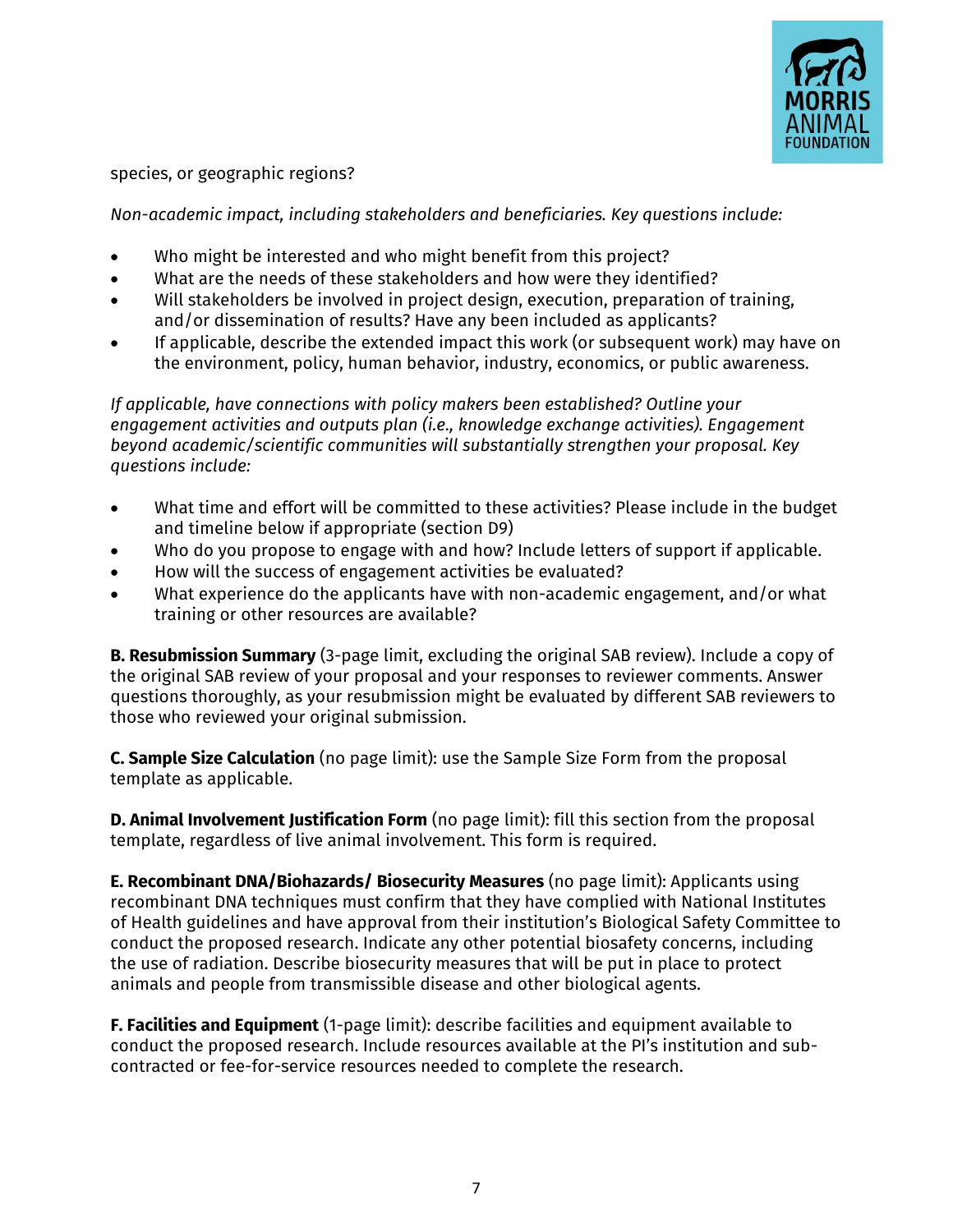

species, or geographic regions?

*Non-academic impact, including stakeholders and beneficiaries. Key questions include:* 

- Who might be interested and who might benefit from this project?
- What are the needs of these stakeholders and how were they identified?
- Will stakeholders be involved in project design, execution, preparation of training, and/or dissemination of results? Have any been included as applicants?
- If applicable, describe the extended impact this work (or subsequent work) may have on the environment, policy, human behavior, industry, economics, or public awareness.

*If applicable, have connections with policy makers been established? Outline your engagement activities and outputs plan (i.e., knowledge exchange activities). Engagement beyond academic/scientific communities will substantially strengthen your proposal. Key questions include:* 

- What time and effort will be committed to these activities? Please include in the budget and timeline below if appropriate (section D9)
- Who do you propose to engage with and how? Include letters of support if applicable.
- How will the success of engagement activities be evaluated?
- What experience do the applicants have with non-academic engagement, and/or what training or other resources are available?

**B. Resubmission Summary** (3-page limit, excluding the original SAB review). Include a copy of the original SAB review of your proposal and your responses to reviewer comments. Answer questions thoroughly, as your resubmission might be evaluated by different SAB reviewers to those who reviewed your original submission.

**C. Sample Size Calculation** (no page limit): use the Sample Size Form from the proposal template as applicable.

**D. Animal Involvement Justification Form** (no page limit): fill this section from the proposal template, regardless of live animal involvement. This form is required.

**E. Recombinant DNA/Biohazards/ Biosecurity Measures** (no page limit): Applicants using recombinant DNA techniques must confirm that they have complied with National Institutes of Health guidelines and have approval from their institution's Biological Safety Committee to conduct the proposed research. Indicate any other potential biosafety concerns, including the use of radiation. Describe biosecurity measures that will be put in place to protect animals and people from transmissible disease and other biological agents.

**F. Facilities and Equipment** (1-page limit): describe facilities and equipment available to conduct the proposed research. Include resources available at the PI's institution and subcontracted or fee-for-service resources needed to complete the research.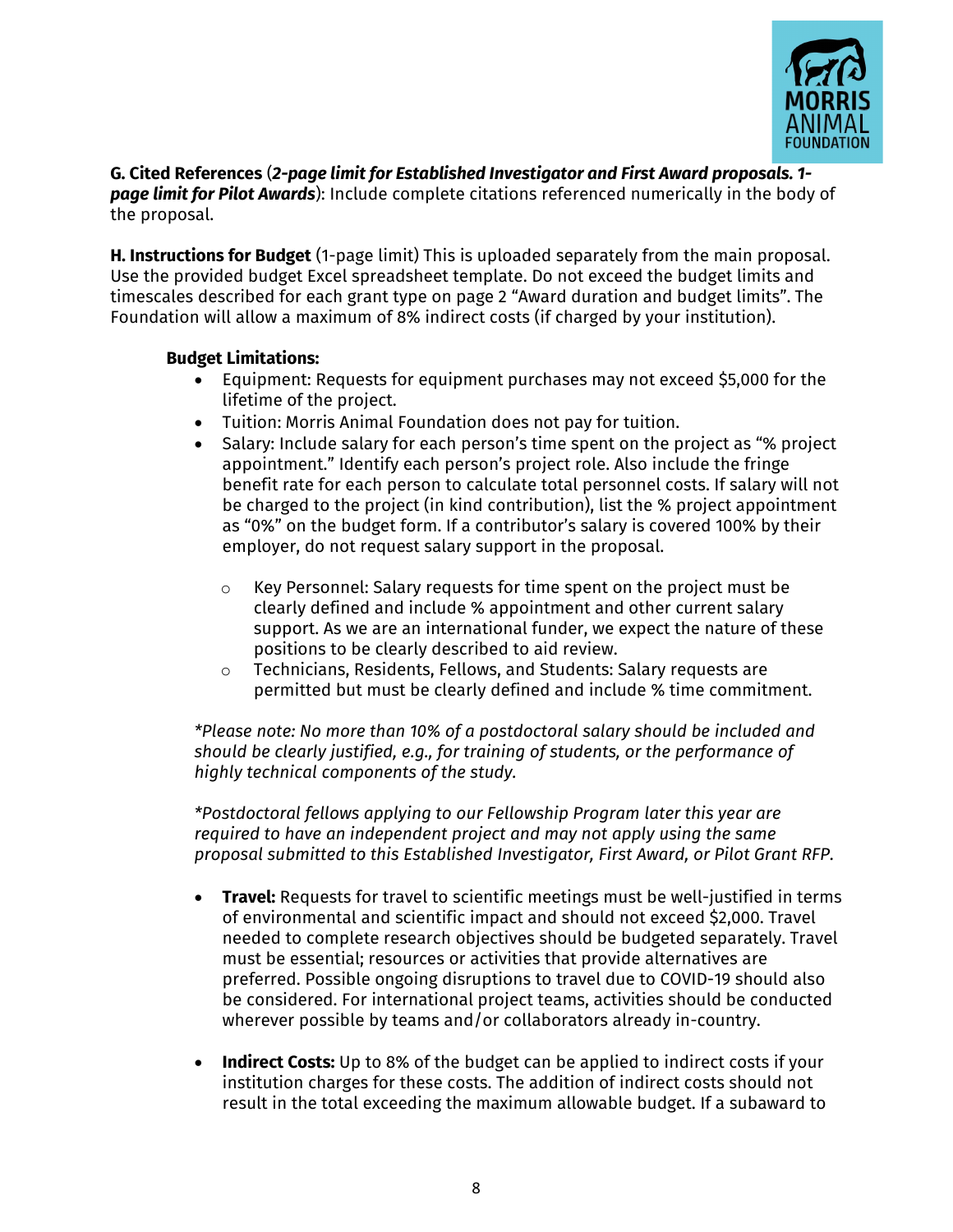

**G. Cited References** (*2-page limit for Established Investigator and First Award proposals. 1 page limit for Pilot Awards*): Include complete citations referenced numerically in the body of the proposal.

**H. Instructions for Budget** (1-page limit) This is uploaded separately from the main proposal. Use the provided budget Excel spreadsheet template. Do not exceed the budget limits and timescales described for each grant type on page 2 "Award duration and budget limits". The Foundation will allow a maximum of 8% indirect costs (if charged by your institution).

### **Budget Limitations:**

- Equipment: Requests for equipment purchases may not exceed \$5,000 for the lifetime of the project.
- Tuition: Morris Animal Foundation does not pay for tuition.
- Salary: Include salary for each person's time spent on the project as "% project appointment." Identify each person's project role. Also include the fringe benefit rate for each person to calculate total personnel costs. If salary will not be charged to the project (in kind contribution), list the % project appointment as "0%" on the budget form. If a contributor's salary is covered 100% by their employer, do not request salary support in the proposal.
	- o Key Personnel: Salary requests for time spent on the project must be clearly defined and include % appointment and other current salary support. As we are an international funder, we expect the nature of these positions to be clearly described to aid review.
	- o Technicians, Residents, Fellows, and Students: Salary requests are permitted but must be clearly defined and include % time commitment.

*\*Please note: No more than 10% of a postdoctoral salary should be included and should be clearly justified, e.g., for training of students, or the performance of highly technical components of the study.*

*\*Postdoctoral fellows applying to our Fellowship Program later this year are required to have an independent project and may not apply using the same proposal submitted to this Established Investigator, First Award, or Pilot Grant RFP.*

- **Travel:** Requests for travel to scientific meetings must be well-justified in terms of environmental and scientific impact and should not exceed \$2,000. Travel needed to complete research objectives should be budgeted separately. Travel must be essential; resources or activities that provide alternatives are preferred. Possible ongoing disruptions to travel due to COVID-19 should also be considered. For international project teams, activities should be conducted wherever possible by teams and/or collaborators already in-country.
- **Indirect Costs:** Up to 8% of the budget can be applied to indirect costs if your institution charges for these costs. The addition of indirect costs should not result in the total exceeding the maximum allowable budget. If a subaward to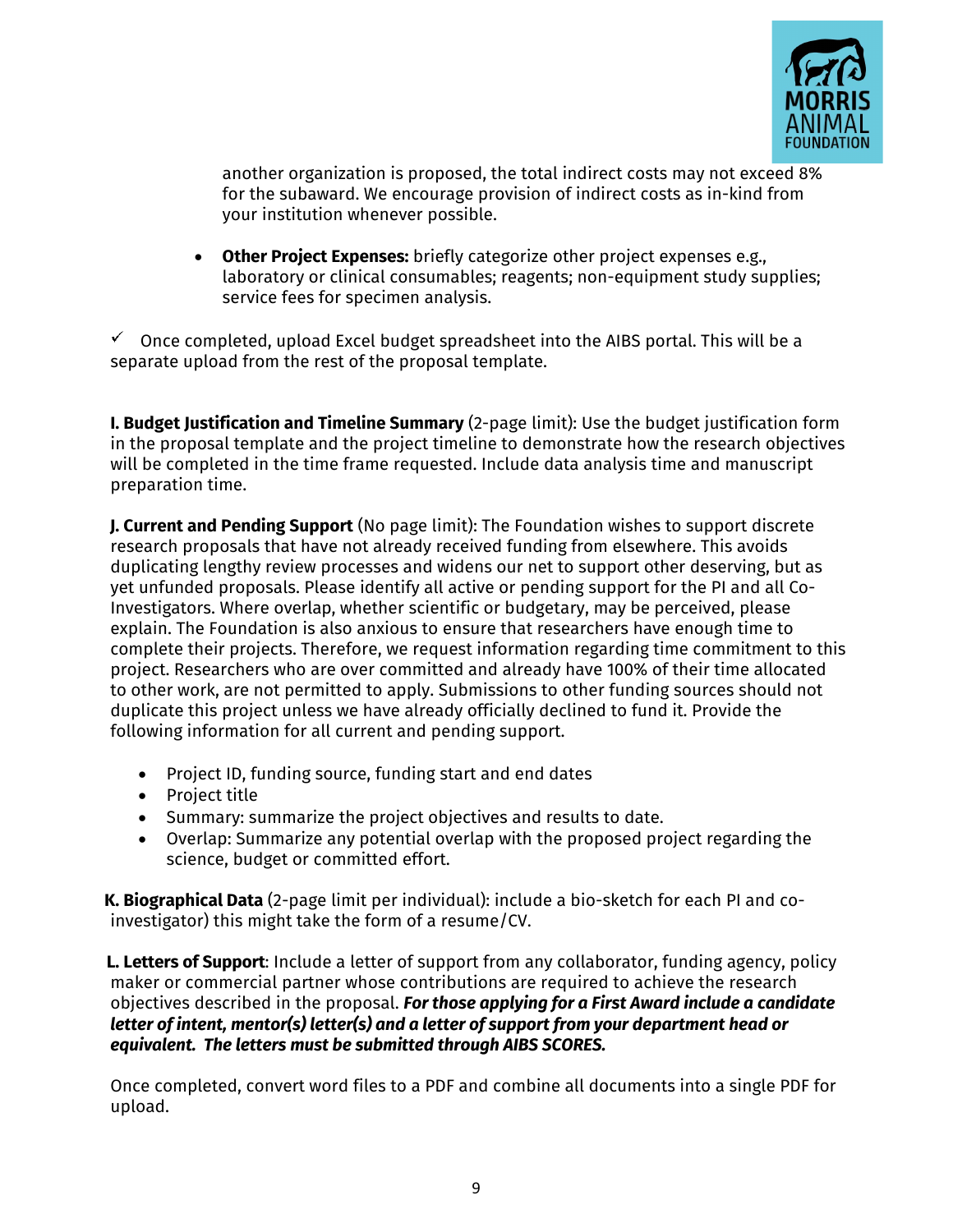

another organization is proposed, the total indirect costs may not exceed 8% for the subaward. We encourage provision of indirect costs as in-kind from your institution whenever possible.

• **Other Project Expenses:** briefly categorize other project expenses e.g., laboratory or clinical consumables; reagents; non-equipment study supplies; service fees for specimen analysis.

 $\checkmark$  Once completed, upload Excel budget spreadsheet into the AIBS portal. This will be a separate upload from the rest of the proposal template.

**I. Budget Justification and Timeline Summary** (2-page limit): Use the budget justification form in the proposal template and the project timeline to demonstrate how the research objectives will be completed in the time frame requested. Include data analysis time and manuscript preparation time.

**J. Current and Pending Support** (No page limit): The Foundation wishes to support discrete research proposals that have not already received funding from elsewhere. This avoids duplicating lengthy review processes and widens our net to support other deserving, but as yet unfunded proposals. Please identify all active or pending support for the PI and all Co-Investigators. Where overlap, whether scientific or budgetary, may be perceived, please explain. The Foundation is also anxious to ensure that researchers have enough time to complete their projects. Therefore, we request information regarding time commitment to this project. Researchers who are over committed and already have 100% of their time allocated to other work, are not permitted to apply. Submissions to other funding sources should not duplicate this project unless we have already officially declined to fund it. Provide the following information for all current and pending support.

- Project ID, funding source, funding start and end dates
- Project title
- Summary: summarize the project objectives and results to date.
- Overlap: Summarize any potential overlap with the proposed project regarding the science, budget or committed effort.

**K. Biographical Data** (2-page limit per individual): include a bio-sketch for each PI and coinvestigator) this might take the form of a resume/CV.

**L. Letters of Support**: Include a letter of support from any collaborator, funding agency, policy maker or commercial partner whose contributions are required to achieve the research objectives described in the proposal. *For those applying for a First Award include a candidate letter of intent, mentor(s) letter(s) and a letter of support from your department head or equivalent. The letters must be submitted through AIBS SCORES.*

Once completed, convert word files to a PDF and combine all documents into a single PDF for upload.